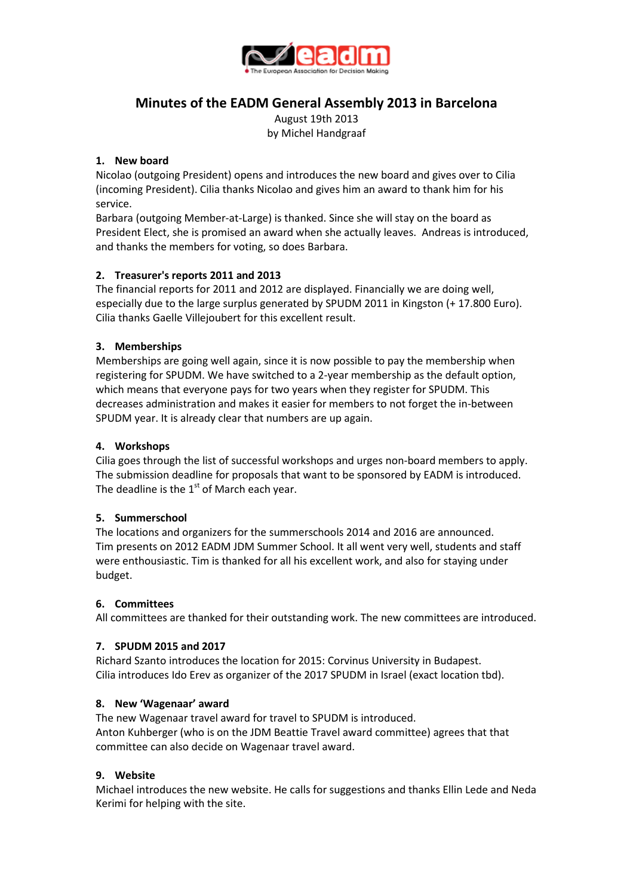

# **Minutes of the EADM General Assembly 2013 in Barcelona**

August 19th 2013 by Michel Handgraaf

## **1. New board**

Nicolao (outgoing President) opens and introduces the new board and gives over to Cilia (incoming President). Cilia thanks Nicolao and gives him an award to thank him for his service.

Barbara (outgoing Member-at-Large) is thanked. Since she will stay on the board as President Elect, she is promised an award when she actually leaves. Andreas is introduced, and thanks the members for voting, so does Barbara.

# **2. Treasurer's reports 2011 and 2013**

The financial reports for 2011 and 2012 are displayed. Financially we are doing well, especially due to the large surplus generated by SPUDM 2011 in Kingston (+ 17.800 Euro). Cilia thanks Gaelle Villejoubert for this excellent result.

## **3. Memberships**

Memberships are going well again, since it is now possible to pay the membership when registering for SPUDM. We have switched to a 2-year membership as the default option, which means that everyone pays for two years when they register for SPUDM. This decreases administration and makes it easier for members to not forget the in-between SPUDM year. It is already clear that numbers are up again.

## **4. Workshops**

Cilia goes through the list of successful workshops and urges non-board members to apply. The submission deadline for proposals that want to be sponsored by EADM is introduced. The deadline is the  $1<sup>st</sup>$  of March each year.

#### **5. Summerschool**

The locations and organizers for the summerschools 2014 and 2016 are announced. Tim presents on 2012 EADM JDM Summer School. It all went very well, students and staff were enthousiastic. Tim is thanked for all his excellent work, and also for staying under budget.

#### **6. Committees**

All committees are thanked for their outstanding work. The new committees are introduced.

#### **7. SPUDM 2015 and 2017**

Richard Szanto introduces the location for 2015: Corvinus University in Budapest. Cilia introduces Ido Erev as organizer of the 2017 SPUDM in Israel (exact location tbd).

#### **8. New 'Wagenaar' award**

The new Wagenaar travel award for travel to SPUDM is introduced. Anton Kuhberger (who is on the JDM Beattie Travel award committee) agrees that that committee can also decide on Wagenaar travel award.

## **9. Website**

Michael introduces the new website. He calls for suggestions and thanks Ellin Lede and Neda Kerimi for helping with the site.